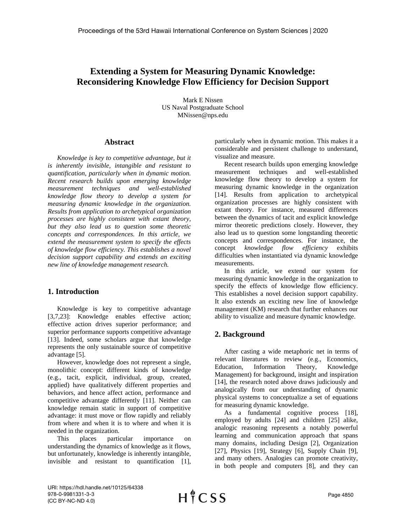# **Extending a System for Measuring Dynamic Knowledge: Reconsidering Knowledge Flow Efficiency for Decision Support**

Mark E Nissen US Naval Postgraduate School MNissen@nps.edu

## **Abstract**

*Knowledge is key to competitive advantage, but it is inherently invisible, intangible and resistant to quantification, particularly when in dynamic motion. Recent research builds upon emerging knowledge measurement techniques and well-established knowledge flow theory to develop a system for measuring dynamic knowledge in the organization. Results from application to archetypical organization processes are highly consistent with extant theory, but they also lead us to question some theoretic concepts and correspondences. In this article, we extend the measurement system to specify the effects of knowledge flow efficiency. This establishes a novel decision support capability and extends an exciting new line of knowledge management research.*

# **1. Introduction**

Knowledge is key to competitive advantage [3,7,23]: Knowledge enables effective action; effective action drives superior performance; and superior performance supports competitive advantage [13]. Indeed, some scholars argue that knowledge represents the only sustainable source of competitive advantage [5].

However, knowledge does not represent a single, monolithic concept: different kinds of knowledge (e.g., tacit, explicit, individual, group, created, applied) have qualitatively different properties and behaviors, and hence affect action, performance and competitive advantage differently [11]. Neither can knowledge remain static in support of competitive advantage: it must move or flow rapidly and reliably from where and when it is to where and when it is needed in the organization.

This places particular importance on understanding the dynamics of knowledge as it flows, but unfortunately, knowledge is inherently intangible, invisible and resistant to quantification [1], particularly when in dynamic motion. This makes it a considerable and persistent challenge to understand, visualize and measure.

Recent research builds upon emerging knowledge measurement techniques and well-established knowledge flow theory to develop a system for measuring dynamic knowledge in the organization [14]. Results from application to archetypical organization processes are highly consistent with extant theory. For instance, measured differences between the dynamics of tacit and explicit knowledge mirror theoretic predictions closely. However, they also lead us to question some longstanding theoretic concepts and correspondences. For instance, the concept *knowledge flow efficiency* exhibits difficulties when instantiated via dynamic knowledge measurements.

In this article, we extend our system for measuring dynamic knowledge in the organization to specify the effects of knowledge flow efficiency. This establishes a novel decision support capability. It also extends an exciting new line of knowledge management (KM) research that further enhances our ability to visualize and measure dynamic knowledge.

# **2. Background**

After casting a wide metaphoric net in terms of relevant literatures to review (e.g., Economics, Education, Information Theory, Knowledge Management) for background, insight and inspiration [14], the research noted above draws judiciously and analogically from our understanding of dynamic physical systems to conceptualize a set of equations for measuring dynamic knowledge.

As a fundamental cognitive process [18], employed by adults [24] and children [25] alike, analogic reasoning represents a notably powerful learning and communication approach that spans many domains, including Design [2], Organization [27], Physics [19], Strategy [6], Supply Chain [9], and many others. Analogies can promote creativity, in both people and computers [8], and they can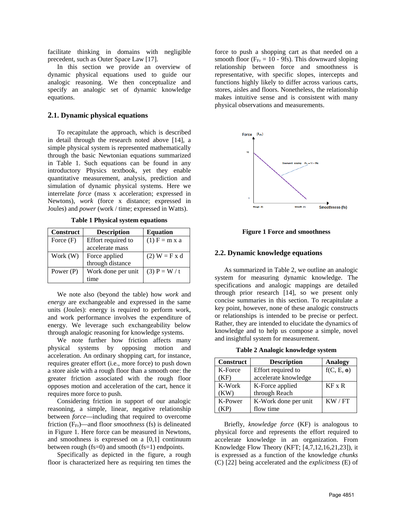facilitate thinking in domains with negligible precedent, such as Outer Space Law [17].

In this section we provide an overview of dynamic physical equations used to guide our analogic reasoning. We then conceptualize and specify an analogic set of dynamic knowledge equations.

#### **2.1. Dynamic physical equations**

To recapitulate the approach, which is described in detail through the research noted above [14], a simple physical system is represented mathematically through the basic Newtonian equations summarized in [Table 1.](#page-1-0) Such equations can be found in any introductory Physics textbook, yet they enable quantitative measurement, analysis, prediction and simulation of dynamic physical systems. Here we interrelate *force* (mass x acceleration; expressed in Newtons), *work* (force x distance; expressed in Joules) and *power* (work / time; expressed in Watts).

<span id="page-1-0"></span>

| <b>Construct</b> | <b>Description</b> | <b>Equation</b> |  |
|------------------|--------------------|-----------------|--|
| Force $(F)$      | Effort required to | $(1)$ F = m x a |  |
|                  | accelerate mass    |                 |  |
| Work (W)         | Force applied      | $(2) W = F x d$ |  |
|                  | through distance   |                 |  |
| Power $(P)$      | Work done per unit | $(3)$ P = W / t |  |
|                  | time               |                 |  |

**Table 1 Physical system equations**

We note also (beyond the table) how *work* and *energy* are exchangeable and expressed in the same units (Joules): energy is required to perform work, and work performance involves the expenditure of energy. We leverage such exchangeability below through analogic reasoning for knowledge systems.

We note further how friction affects many physical systems by opposing motion and acceleration. An ordinary shopping cart, for instance, requires greater effort (i.e., more force) to push down a store aisle with a rough floor than a smooth one: the greater friction associated with the rough floor opposes motion and acceleration of the cart, hence it requires more force to push.

Considering friction in support of our analogic reasoning, a simple, linear, negative relationship between *force*—including that required to overcome friction (F<sub>Fr</sub>)—and floor *smoothness* (fs) is delineated in [Figure 1.](#page-1-1) Here force can be measured in Newtons, and smoothness is expressed on a [0,1] continuum between rough (fs=0) and smooth (fs=1) endpoints.

Specifically as depicted in the figure, a rough floor is characterized here as requiring ten times the

force to push a shopping cart as that needed on a smooth floor ( $F_{\text{Fr}} = 10$  - 9fs). This downward sloping relationship between force and smoothness is representative, with specific slopes, intercepts and functions highly likely to differ across various carts, stores, aisles and floors. Nonetheless, the relationship makes intuitive sense and is consistent with many physical observations and measurements.



**Figure 1 Force and smoothness**

#### <span id="page-1-1"></span>**2.2. Dynamic knowledge equations**

As summarized in [Table 2,](#page-1-2) we outline an analogic system for measuring dynamic knowledge. The specifications and analogic mappings are detailed through prior research [14], so we present only concise summaries in this section. To recapitulate a key point, however, none of these analogic constructs or relationships is intended to be precise or perfect. Rather, they are intended to elucidate the dynamics of knowledge and to help us compose a simple, novel and insightful system for measurement.

**Table 2 Analogic knowledge system** 

<span id="page-1-2"></span>

| <b>Construct</b> | <b>Description</b>   | <b>Analogy</b> |
|------------------|----------------------|----------------|
| K-Force          | Effort required to   | f(C, E, o)     |
| (KF)             | accelerate knowledge |                |
| K-Work           | K-Force applied      | $KF \times R$  |
| (KW)             | through Reach        |                |
| K-Power          | K-Work done per unit | KW / FT        |
|                  | flow time            |                |

Briefly, *knowledge force* (KF) is analogous to physical force and represents the effort required to accelerate knowledge in an organization. From Knowledge Flow Theory (KFT; [4,7,12,16,21,23]), it is expressed as a function of the knowledge *chunks* (C) [22] being accelerated and the *explicitness* (E) of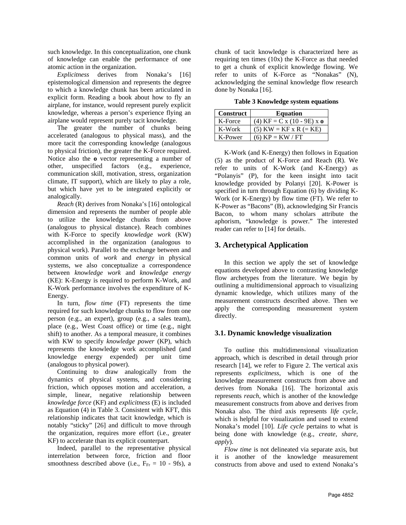such knowledge. In this conceptualization, one chunk of knowledge can enable the performance of one atomic action in the organization.

*Explicitness* derives from Nonaka's [16] epistemological dimension and represents the degree to which a knowledge chunk has been articulated in explicit form. Reading a book about how to fly an airplane, for instance, would represent purely explicit knowledge, whereas a person's experience flying an airplane would represent purely tacit knowledge.

The greater the number of chunks being accelerated (analogous to physical mass), and the more tacit the corresponding knowledge (analogous to physical friction), the greater the K-Force required. Notice also the **o** vector representing a number of other, unspecified factors (e.g., experience, communication skill, motivation, stress, organization climate, IT support), which are likely to play a role, but which have yet to be integrated explicitly or analogically.

*Reach* (R) derives from Nonaka's [16] ontological dimension and represents the number of people able to utilize the knowledge chunks from above (analogous to physical distance). Reach combines with K-Force to specify *knowledge work* (KW) accomplished in the organization (analogous to physical work). Parallel to the exchange between and common units of *work* and *energy* in physical systems, we also conceptualize a correspondence between *knowledge work* and *knowledge energy* (KE): K-Energy is required to perform K-Work, and K-Work performance involves the expenditure of K-Energy.

In turn, *flow time* (FT) represents the time required for such knowledge chunks to flow from one person (e.g., an expert), group (e.g., a sales team), place (e.g., West Coast office) or time (e.g., night shift) to another. As a temporal measure, it combines with KW to specify *knowledge power* (KP), which represents the knowledge work accomplished (and knowledge energy expended) per unit time (analogous to physical power).

Continuing to draw analogically from the dynamics of physical systems, and considering friction, which opposes motion and acceleration, a simple, linear, negative relationship between *knowledge force* (KF) and *explicitness* (E) is included as Equation (4) in [Table 3.](#page-2-0) Consistent with KFT, this relationship indicates that tacit knowledge, which is notably "sticky" [26] and difficult to move through the organization, requires more effort (i.e., greater KF) to accelerate than its explicit counterpart.

Indeed, parallel to the representative physical interrelation between force, friction and floor smoothness described above (i.e.,  $F_{Fr} = 10$  - 9fs), a

chunk of tacit knowledge is characterized here as requiring ten times  $(10x)$  the K-Force as that needed to get a chunk of explicit knowledge flowing. We refer to units of K-Force as "Nonakas" (N), acknowledging the seminal knowledge flow research done by Nonaka [16].

**Table 3 Knowledge system equations**

<span id="page-2-0"></span>

| <b>Construct</b> | <b>Equation</b>              |
|------------------|------------------------------|
| K-Force          | (4) $KF = C x (10 - 9E) x o$ |
| K-Work           | $(5)$ KW = KF x R (= KE)     |
| K-Power          | $(6)$ KP = KW / FT           |

K-Work (and K-Energy) then follows in Equation (5) as the product of K-Force and Reach (R). We refer to units of K-Work (and K-Energy) as "Polanyis" (P), for the keen insight into tacit knowledge provided by Polanyi [20]. K-Power is specified in turn through Equation (6) by dividing K-Work (or K-Energy) by flow time (FT). We refer to K-Power as "Bacons" (B), acknowledging Sir Francis Bacon, to whom many scholars attribute the aphorism, "knowledge is power." The interested reader can refer to [14] for details.

# **3. Archetypical Application**

In this section we apply the set of knowledge equations developed above to contrasting knowledge flow archetypes from the literature. We begin by outlining a multidimensional approach to visualizing dynamic knowledge, which utilizes many of the measurement constructs described above. Then we apply the corresponding measurement system directly.

## **3.1. Dynamic knowledge visualization**

To outline this multidimensional visualization approach, which is described in detail through prior research [14], we refer to [Figure 2.](#page-3-0) The vertical axis represents *explicitness*, which is one of the knowledge measurement constructs from above and derives from Nonaka [16]. The horizontal axis represents *reach*, which is another of the knowledge measurement constructs from above and derives from Nonaka also. The third axis represents *life cycle*, which is helpful for visualization and used to extend Nonaka's model [10]. *Life cycle* pertains to what is being done with knowledge (e.g., *create, share, apply*).

*Flow time* is not delineated via separate axis, but it is another of the knowledge measurement constructs from above and used to extend Nonaka's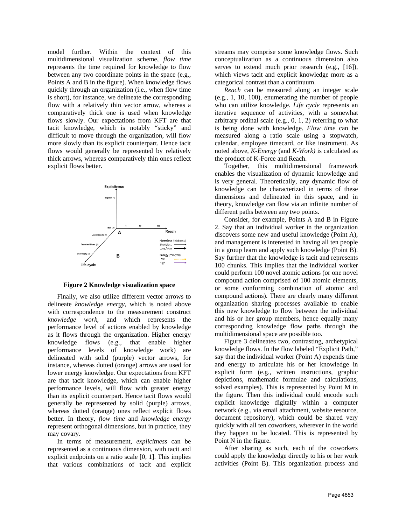model further. Within the context of this multidimensional visualization scheme, *flow time* represents the time required for knowledge to flow between any two coordinate points in the space (e.g., Points A and B in the figure). When knowledge flows quickly through an organization (i.e., when flow time is short), for instance, we delineate the corresponding flow with a relatively thin vector arrow, whereas a comparatively thick one is used when knowledge flows slowly. Our expectations from KFT are that tacit knowledge, which is notably "sticky" and difficult to move through the organization, will flow more slowly than its explicit counterpart. Hence tacit flows would generally be represented by relatively thick arrows, whereas comparatively thin ones reflect explicit flows better.



<span id="page-3-0"></span>**Figure 2 Knowledge visualization space**

Finally, we also utilize different vector arrows to delineate *knowledge energy,* which is noted above with correspondence to the measurement construct *knowledge work*, and which represents the performance level of actions enabled by knowledge as it flows through the organization. Higher energy knowledge flows (e.g., that enable higher performance levels of knowledge work) are delineated with solid (purple) vector arrows, for instance, whereas dotted (orange) arrows are used for lower energy knowledge. Our expectations from KFT are that tacit knowledge, which can enable higher performance levels, will flow with greater energy than its explicit counterpart. Hence tacit flows would generally be represented by solid (purple) arrows, whereas dotted (orange) ones reflect explicit flows better. In theory, *flow time* and *knowledge energy* represent orthogonal dimensions, but in practice, they may covary.

In terms of measurement, *explicitness* can be represented as a continuous dimension, with tacit and explicit endpoints on a ratio scale [0, 1]. This implies that various combinations of tacit and explicit streams may comprise some knowledge flows. Such conceptualization as a continuous dimension also serves to extend much prior research (e.g., [16]), which views tacit and explicit knowledge more as a categorical contrast than a continuum.

*Reach* can be measured along an integer scale (e.g., 1, 10, 100), enumerating the number of people who can utilize knowledge. *Life cycle* represents an iterative sequence of activities, with a somewhat arbitrary ordinal scale  $(e.g., 0, 1, 2)$  referring to what is being done with knowledge. *Flow time* can be measured along a ratio scale using a stopwatch, calendar, employee timecard, or like instrument. As noted above, *K-Energy* (and *K-Work)* is calculated as the product of K-Force and Reach.

Together, this multidimensional framework enables the visualization of dynamic knowledge and is very general. Theoretically, any dynamic flow of knowledge can be characterized in terms of these dimensions and delineated in this space, and in theory, knowledge can flow via an infinite number of different paths between any two points.

Consider, for example, Points A and B in [Figure](#page-3-0)  [2.](#page-3-0) Say that an individual worker in the organization discovers some new and useful knowledge (Point A), and management is interested in having all ten people in a group learn and apply such knowledge (Point B). Say further that the knowledge is tacit and represents 100 chunks. This implies that the individual worker could perform 100 novel atomic actions (or one novel compound action comprised of 100 atomic elements, or some conforming combination of atomic and compound actions). There are clearly many different organization sharing processes available to enable this new knowledge to flow between the individual and his or her group members, hence equally many corresponding knowledge flow paths through the multidimensional space are possible too.

[Figure 3](#page-4-0) delineates two, contrasting, archetypical knowledge flows. In the flow labeled "Explicit Path," say that the individual worker (Point A) expends time and energy to articulate his or her knowledge in explicit form (e.g., written instructions, graphic depictions, mathematic formulae and calculations, solved examples). This is represented by Point M in the figure. Then this individual could encode such explicit knowledge digitally within a computer network (e.g., via email attachment, website resource, document repository), which could be shared very quickly with all ten coworkers, wherever in the world they happen to be located. This is represented by Point N in the figure.

After sharing as such, each of the coworkers could apply the knowledge directly to his or her work activities (Point B). This organization process and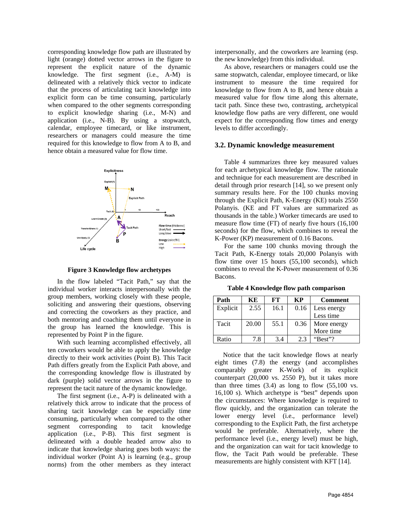corresponding knowledge flow path are illustrated by light (orange) dotted vector arrows in the figure to represent the explicit nature of the dynamic knowledge. The first segment (i.e., A-M) is delineated with a relatively thick vector to indicate that the process of articulating tacit knowledge into explicit form can be time consuming, particularly when compared to the other segments corresponding to explicit knowledge sharing (i.e., M-N) and application (i.e., N-B). By using a stopwatch, calendar, employee timecard, or like instrument, researchers or managers could measure the time required for this knowledge to flow from A to B, and hence obtain a measured value for flow time.



**Figure 3 Knowledge flow archetypes**

<span id="page-4-0"></span>In the flow labeled "Tacit Path," say that the individual worker interacts interpersonally with the group members, working closely with these people, soliciting and answering their questions, observing and correcting the coworkers as they practice, and both mentoring and coaching them until everyone in the group has learned the knowledge. This is represented by Point P in the figure.

With such learning accomplished effectively, all ten coworkers would be able to apply the knowledge directly to their work activities (Point B). This Tacit Path differs greatly from the Explicit Path above, and the corresponding knowledge flow is illustrated by dark (purple) solid vector arrows in the figure to represent the tacit nature of the dynamic knowledge.

The first segment (i.e., A-P) is delineated with a relatively thick arrow to indicate that the process of sharing tacit knowledge can be especially time consuming, particularly when compared to the other segment corresponding to tacit knowledge application (i.e., P-B). This first segment is delineated with a double headed arrow also to indicate that knowledge sharing goes both ways: the individual worker (Point A) is learning (e.g., group norms) from the other members as they interact

interpersonally, and the coworkers are learning (esp. the new knowledge) from this individual.

As above, researchers or managers could use the same stopwatch, calendar, employee timecard, or like instrument to measure the time required for knowledge to flow from A to B, and hence obtain a measured value for flow time along this alternate, tacit path. Since these two, contrasting, archetypical knowledge flow paths are very different, one would expect for the corresponding flow times and energy levels to differ accordingly.

## **3.2. Dynamic knowledge measurement**

[Table 4](#page-4-1) summarizes three key measured values for each archetypical knowledge flow. The rationale and technique for each measurement are described in detail through prior research [14], so we present only summary results here. For the 100 chunks moving through the Explicit Path, K-Energy (KE) totals 2550 Polanyis. (KE and FT values are summarized as thousands in the table.) Worker timecards are used to measure flow time (FT) of nearly five hours (16,100 seconds) for the flow, which combines to reveal the K-Power (KP) measurement of 0.16 Bacons.

For the same 100 chunks moving through the Tacit Path, K-Energy totals 20,000 Polanyis with flow time over 15 hours (55,100 seconds), which combines to reveal the K-Power measurement of 0.36 Bacons.

<span id="page-4-1"></span>**Table 4 Knowledge flow path comparison**

| Path     | KЕ    | FТ   | KP   | <b>Comment</b> |
|----------|-------|------|------|----------------|
| Explicit | 2.55  | 16.1 | 0.16 | Less energy    |
|          |       |      |      | Less time      |
| Tacit    | 20.00 | 55.1 | 0.36 | More energy    |
|          |       |      |      | More time      |
| Ratio    | 7.8   | 3.4  | 2.3  | "Best"?        |

 Notice that the tacit knowledge flows at nearly eight times (7.8) the energy (and accomplishes comparably greater K-Work) of its explicit counterpart (20,000 vs. 2550 P), but it takes more than three times  $(3.4)$  as long to flow  $(55,100 \text{ vs.})$ 16,100 s). Which archetype is "best" depends upon the circumstances: Where knowledge is required to flow quickly, and the organization can tolerate the lower energy level (i.e., performance level) corresponding to the Explicit Path, the first archetype would be preferable. Alternatively, where the performance level (i.e., energy level) must be high, and the organization can wait for tacit knowledge to flow, the Tacit Path would be preferable. These measurements are highly consistent with KFT [14].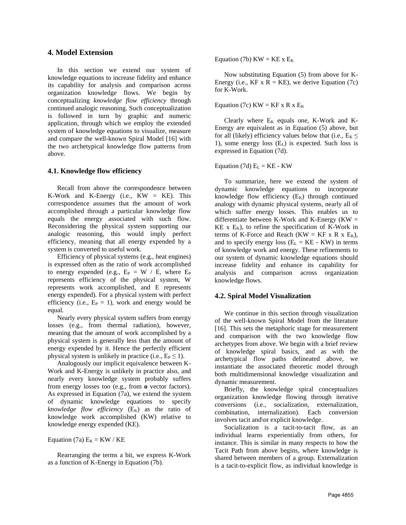#### **4. Model Extension**

In this section we extend our system of knowledge equations to increase fidelity and enhance its capability for analysis and comparison across organization knowledge flows. We begin by conceptualizing *knowledge flow efficiency* through continued analogic reasoning. Such conceptualization is followed in turn by graphic and numeric application, through which we employ the extended system of knowledge equations to visualize, measure and compare the well-known Spiral Model [16] with the two archetypical knowledge flow patterns from above.

#### **4.1. Knowledge flow efficiency**

Recall from above the correspondence between K-Work and K-Energy (i.e.,  $KW = KE$ ). This correspondence assumes that the amount of work accomplished through a particular knowledge flow equals the energy associated with such flow. Reconsidering the physical system supporting our analogic reasoning, this would imply perfect efficiency, meaning that all energy expended by a system is converted to useful work.

Efficiency of physical systems (e.g., heat engines) is expressed often as the ratio of work accomplished to energy expended (e.g.,  $E_P = W / E$ , where  $E_P$ represents efficiency of the physical system, W represents work accomplished, and E represents energy expended). For a physical system with perfect efficiency (i.e.,  $E_P = 1$ ), work and energy would be equal.

Nearly every physical system suffers from energy losses (e.g., from thermal radiation), however, meaning that the amount of work accomplished by a physical system is generally less than the amount of energy expended by it. Hence the perfectly efficient physical system is unlikely in practice (i.e.,  $E_P \le 1$ ).

Analogously our implicit equivalence between K-Work and K-Energy is unlikely in practice also, and nearly every knowledge system probably suffers from energy losses too (e.g., from **o** vector factors). As expressed in Equation (7a), we extend the system of dynamic knowledge equations to specify  *as the ratio of* knowledge work accomplished (KW) relative to knowledge energy expended (KE).

Equation (7a)  $E_K = KW / KE$ 

Rearranging the terms a bit, we express K-Work as a function of K-Energy in Equation (7b).

Equation (7b)  $KW = KE \times E_K$ 

Now substituting Equation (5) from above for K-Energy (i.e.,  $KF \times R = KE$ ), we derive Equation (7c) for K-Work.

Equation (7c)  $KW = KF x R x E_K$ 

Clearly where  $E_K$  equals one, K-Work and K-Energy are equivalent as in Equation (5) above, but for all (likely) efficiency values below that (i.e.,  $E_K \leq$ 1), some energy loss  $(E<sub>L</sub>)$  is expected. Such loss is expressed in Equation (7d).

Equation (7d)  $E_L = KE - KW$ 

To summarize, here we extend the system of dynamic knowledge equations to incorporate knowledge flow efficiency  $(E_K)$  through continued analogy with dynamic physical systems, nearly all of which suffer energy losses. This enables us to differentiate between K-Work and K-Energy  $(KW =$  $KE$  x  $E_K$ ), to refine the specification of K-Work in terms of K-Force and Reach (KW = KF x R x  $E_K$ ), and to specify energy loss  $(E_L = KE - KW)$  in terms of knowledge work and energy. These refinements to our system of dynamic knowledge equations should increase fidelity and enhance its capability for analysis and comparison across organization knowledge flows.

#### **4.2. Spiral Model Visualization**

We continue in this section through visualization of the well-known Spiral Model from the literature [16]. This sets the metaphoric stage for measurement and comparison with the two knowledge flow archetypes from above. We begin with a brief review of knowledge spiral basics, and as with the archetypical flow paths delineated above, we instantiate the associated theoretic model through both multidimensional knowledge visualization and dynamic measurement.

Briefly, the knowledge spiral conceptualizes organization knowledge flowing through iterative conversions (i.e., socialization, externalization, combination, internalization). Each conversion involves tacit and\or explicit knowledge.

Socialization is a tacit-to-tacit flow, as an individual learns experientially from others, for instance. This is similar in many respects to how the Tacit Path from above begins, where knowledge is shared between members of a group. Externalization is a tacit-to-explicit flow, as individual knowledge is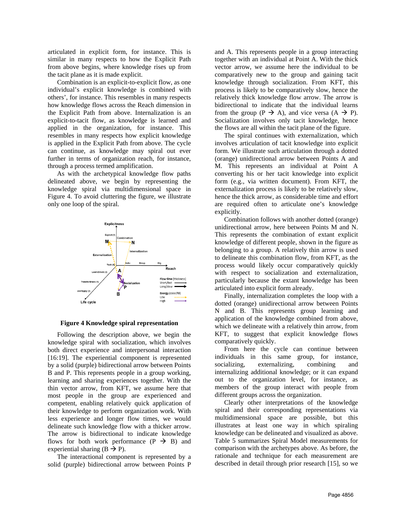articulated in explicit form, for instance. This is similar in many respects to how the Explicit Path from above begins, where knowledge rises up from the tacit plane as it is made explicit.

Combination is an explicit-to-explicit flow, as one individual's explicit knowledge is combined with others', for instance. This resembles in many respects how knowledge flows across the Reach dimension in the Explicit Path from above. Internalization is an explicit-to-tacit flow, as knowledge is learned and applied in the organization, for instance. This resembles in many respects how explicit knowledge is applied in the Explicit Path from above. The cycle can continue, as knowledge may spiral out ever further in terms of organization reach, for instance, through a process termed amplification.

As with the archetypical knowledge flow paths delineated above, we begin by representing the knowledge spiral via multidimensional space in [Figure 4.](#page-6-0) To avoid cluttering the figure, we illustrate only one loop of the spiral.



<span id="page-6-0"></span>**Figure 4 Knowledge spiral representation**

Following the description above, we begin the knowledge spiral with socialization, which involves both direct experience and interpersonal interaction [16:19]. The experiential component is represented by a solid (purple) bidirectional arrow between Points B and P. This represents people in a group working, learning and sharing experiences together. With the thin vector arrow, from KFT, we assume here that most people in the group are experienced and competent, enabling relatively quick application of their knowledge to perform organization work. With less experience and longer flow times, we would delineate such knowledge flow with a thicker arrow. The arrow is bidirectional to indicate knowledge flows for both work performance  $(P \rightarrow B)$  and experiential sharing  $(B \rightarrow P)$ .

The interactional component is represented by a solid (purple) bidirectional arrow between Points P and A. This represents people in a group interacting together with an individual at Point A. With the thick vector arrow, we assume here the individual to be comparatively new to the group and gaining tacit knowledge through socialization. From KFT, this process is likely to be comparatively slow, hence the relatively thick knowledge flow arrow. The arrow is bidirectional to indicate that the individual learns from the group ( $P \to A$ ), and vice versa ( $A \to P$ ). Socialization involves only tacit knowledge, hence the flows are all within the tacit plane of the figure.

The spiral continues with externalization, which involves articulation of tacit knowledge into explicit form. We illustrate such articulation through a dotted (orange) unidirectional arrow between Points A and M. This represents an individual at Point A converting his or her tacit knowledge into explicit form (e.g., via written document). From KFT, the externalization process is likely to be relatively slow, hence the thick arrow, as considerable time and effort are required often to articulate one's knowledge explicitly.

Combination follows with another dotted (orange) unidirectional arrow, here between Points M and N. This represents the combination of extant explicit knowledge of different people, shown in the figure as belonging to a group. A relatively thin arrow is used to delineate this combination flow, from KFT, as the process would likely occur comparatively quickly with respect to socialization and externalization, particularly because the extant knowledge has been articulated into explicit form already.

Finally, internalization completes the loop with a dotted (orange) unidirectional arrow between Points N and B. This represents group learning and application of the knowledge combined from above, which we delineate with a relatively thin arrow, from KFT, to suggest that explicit knowledge flows comparatively quickly.

From here the cycle can continue between individuals in this same group, for instance, socializing, externalizing, combining and internalizing additional knowledge; or it can expand out to the organization level, for instance, as members of the group interact with people from different groups across the organization.

Clearly other interpretations of the knowledge spiral and their corresponding representations via multidimensional space are possible, but this illustrates at least one way in which spiraling knowledge can be delineated and visualized as above. [Table 5](#page-7-0) summarizes Spiral Model measurements for comparison with the archetypes above. As before, the rationale and technique for each measurement are described in detail through prior research [15], so we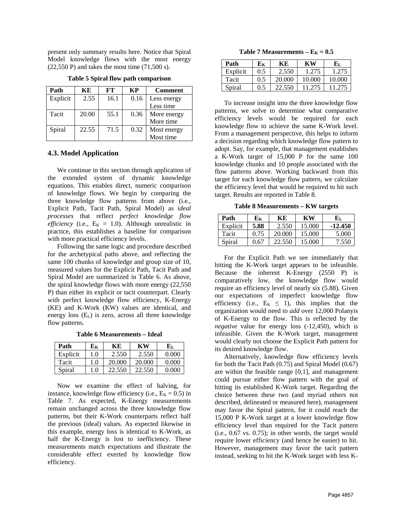present only summary results here. Notice that Spiral Model knowledge flows with the most energy (22,550 P) and takes the most time (71,500 s).

<span id="page-7-0"></span>

| Path     | KЕ    | FТ   | KP   | <b>Comment</b> |
|----------|-------|------|------|----------------|
| Explicit | 2.55  | 16.1 | 0.16 | Less energy    |
|          |       |      |      | Less time      |
| Tacit    | 20.00 | 55.1 | 0.36 | More energy    |
|          |       |      |      | More time      |
| Spiral   | 22.55 | 71.5 | 0.32 | Most energy    |
|          |       |      |      | Most time      |

**Table 5 Spiral flow path comparison**

## **4.3. Model Application**

We continue in this section through application of the extended system of dynamic knowledge equations. This enables direct, numeric comparison of knowledge flows. We begin by comparing the three knowledge flow patterns from above (i.e., Explicit Path, Tacit Path, Spiral Model) as *ideal processes* that reflect *perfect knowledge flow efficiency* (i.e.,  $E_K = 1.0$ ). Although unrealistic in practice, this establishes a baseline for comparison with more practical efficiency levels.

Following the same logic and procedure described for the archetypical paths above, and reflecting the same 100 chunks of knowledge and group size of 10, measured values for the Explicit Path, Tacit Path and Spiral Model are summarized in [Table 6.](#page-7-1) As above, the spiral knowledge flows with more energy (22,550 P) than either its explicit or tacit counterpart. Clearly with perfect knowledge flow efficiency, K-Energy (KE) and K-Work (KW) values are identical, and energy loss  $(E_L)$  is zero, across all three knowledge flow patterns.

**Table 6 Measurements – Ideal**

<span id="page-7-1"></span>

| Path     | Eк  | KЕ     | KW     | Eī.   |
|----------|-----|--------|--------|-------|
| Explicit | 1.0 | 2.550  | 2.550  | 0.000 |
| Tacit    | 1.0 | 20,000 | 20,000 | 0.000 |
| Spiral   | 1.0 | 22.550 | 22.550 | 0.000 |

Now we examine the effect of halving, for instance, knowledge flow efficiency (i.e.,  $E_K = 0.5$ ) in [Table 7.](#page-7-2) As expected, K-Energy measurements remain unchanged across the three knowledge flow patterns, but their K-Work counterparts reflect half the previous (ideal) values. As expected likewise in this example, energy loss is identical to K-Work, as half the K-Energy is lost to inefficiency. These measurements match expectations and illustrate the considerable effect exerted by knowledge flow efficiency.

**Table 7 Measurements –**  $E_K = 0.5$ 

<span id="page-7-2"></span>

| Path     | Eк  | KЕ     | KW     | Eт.    |
|----------|-----|--------|--------|--------|
| Explicit | 0.5 | 2.550  | 1.275  | 1.275  |
| Tacit    | 0.5 | 20,000 | 10.000 | 10.000 |
| Spiral   | 0.5 | 22.550 | 11.275 | 11.275 |

To increase insight into the three knowledge flow patterns, we solve to determine what comparative efficiency levels would be required for each knowledge flow to achieve the same K-Work level. From a management perspective, this helps to inform a decision regarding which knowledge flow pattern to adopt. Say, for example, that management establishes a K-Work target of 15,000 P for the same 100 knowledge chunks and 10 people associated with the flow patterns above. Working backward from this target for each knowledge flow pattern, we calculate the efficiency level that would be required to hit such target. Results are reported i[n Table 8.](#page-7-3)

**Table 8 Measurements – KW targets**

<span id="page-7-3"></span>

| Path     | ${\bf E} {\bf {\bf K}}$ | KЕ     | KW     | Eт.       |
|----------|-------------------------|--------|--------|-----------|
| Explicit | 5.88                    | 2.550  | 15.000 | $-12.450$ |
| Tacit    | 0.75                    | 20,000 | 15.000 | 5.000     |
| Spiral   | 0.67                    | 22.550 | 15.000 | 7.550     |

For the Explicit Path we see immediately that hitting the K-Work target appears to be infeasible. Because the inherent K-Energy (2550 P) is comparatively low, the knowledge flow would require an efficiency level of nearly six (5.88). Given our expectations of imperfect knowledge flow efficiency (i.e.,  $E_K \leq 1$ ), this implies that the organization would need to *add* over 12,000 Polanyis of K-Energy to the flow. This is reflected by the *negative* value for energy loss (-12,450), which is infeasible. Given the K-Work target, management would clearly not choose the Explicit Path pattern for its desired knowledge flow.

Alternatively, knowledge flow efficiency levels for both the Tacit Path (0.75) and Spiral Model (0.67) are within the feasible range [0,1], and management could pursue either flow pattern with the goal of hitting its established K-Work target. Regarding the choice between these two (and myriad others not described, delineated or measured here), management may favor the Spiral pattern, for it could reach the 15,000 P K-Work target at a lower knowledge flow efficiency level than required for the Tacit pattern (i.e., 0.67 vs. 0.75); in other words, the target would require lower efficiency (and hence be easier) to hit. However, management may favor the tacit pattern instead, seeking to hit the K-Work target with less K-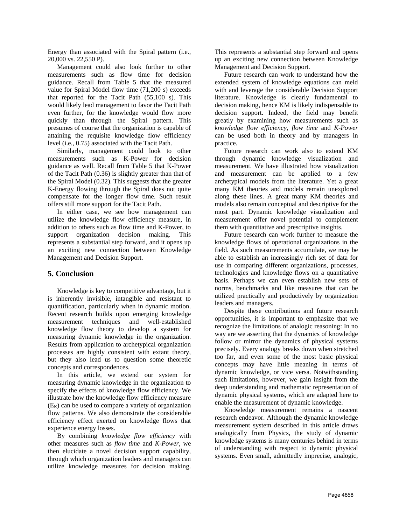Energy than associated with the Spiral pattern (i.e., 20,000 vs. 22,550 P).

Management could also look further to other measurements such as flow time for decision guidance. Recall from [Table 5](#page-7-0) that the measured value for Spiral Model flow time (71,200 s) exceeds that reported for the Tacit Path (55,100 s). This would likely lead management to favor the Tacit Path even further, for the knowledge would flow more quickly than through the Spiral pattern. This presumes of course that the organization is capable of attaining the requisite knowledge flow efficiency level (i.e., 0.75) associated with the Tacit Path.

Similarly, management could look to other measurements such as K-Power for decision guidance as well. Recall from [Table 5](#page-7-0) that K-Power of the Tacit Path (0.36) is slightly greater than that of the Spiral Model (0.32). This suggests that the greater K-Energy flowing through the Spiral does not quite compensate for the longer flow time. Such result offers still more support for the Tacit Path.

In either case, we see how management can utilize the knowledge flow efficiency measure, in addition to others such as flow time and K-Power, to support organization decision making. This represents a substantial step forward, and it opens up an exciting new connection between Knowledge Management and Decision Support.

## **5. Conclusion**

Knowledge is key to competitive advantage, but it is inherently invisible, intangible and resistant to quantification, particularly when in dynamic motion. Recent research builds upon emerging knowledge measurement techniques and well-established knowledge flow theory to develop a system for measuring dynamic knowledge in the organization. Results from application to archetypical organization processes are highly consistent with extant theory, but they also lead us to question some theoretic concepts and correspondences.

In this article, we extend our system for measuring dynamic knowledge in the organization to specify the effects of knowledge flow efficiency. We illustrate how the knowledge flow efficiency measure  $(E_K)$  can be used to compare a variety of organization flow patterns. We also demonstrate the considerable efficiency effect exerted on knowledge flows that experience energy losses.

By combining *knowledge flow efficiency* with other measures such as *flow time* and *K-Power*, we then elucidate a novel decision support capability, through which organization leaders and managers can utilize knowledge measures for decision making. This represents a substantial step forward and opens up an exciting new connection between Knowledge Management and Decision Support.

Future research can work to understand how the extended system of knowledge equations can meld with and leverage the considerable Decision Support literature. Knowledge is clearly fundamental to decision making, hence KM is likely indispensable to decision support. Indeed, the field may benefit greatly by examining how measurements such as *knowledge flow efficiency, flow time* and *K-Power* can be used both in theory and by managers in practice.

Future research can work also to extend KM through dynamic knowledge visualization and measurement. We have illustrated how visualization and measurement can be applied to a few archetypical models from the literature. Yet a great many KM theories and models remain unexplored along these lines. A great many KM theories and models also remain conceptual and descriptive for the most part. Dynamic knowledge visualization and measurement offer novel potential to complement them with quantitative and prescriptive insights.

Future research can work further to measure the knowledge flows of operational organizations in the field. As such measurements accumulate, we may be able to establish an increasingly rich set of data for use in comparing different organizations, processes, technologies and knowledge flows on a quantitative basis. Perhaps we can even establish new sets of norms, benchmarks and like measures that can be utilized practically and productively by organization leaders and managers.

Despite these contributions and future research opportunities, it is important to emphasize that we recognize the limitations of analogic reasoning: In no way are we asserting that the dynamics of knowledge follow or mirror the dynamics of physical systems precisely. Every analogy breaks down when stretched too far, and even some of the most basic physical concepts may have little meaning in terms of dynamic knowledge, or vice versa. Notwithstanding such limitations, however, we gain insight from the deep understanding and mathematic representation of dynamic physical systems, which are adapted here to enable the measurement of dynamic knowledge.

Knowledge measurement remains a nascent research endeavor. Although the dynamic knowledge measurement system described in this article draws analogically from Physics, the study of dynamic knowledge systems is many centuries behind in terms of understanding with respect to dynamic physical systems. Even small, admittedly imprecise, analogic,